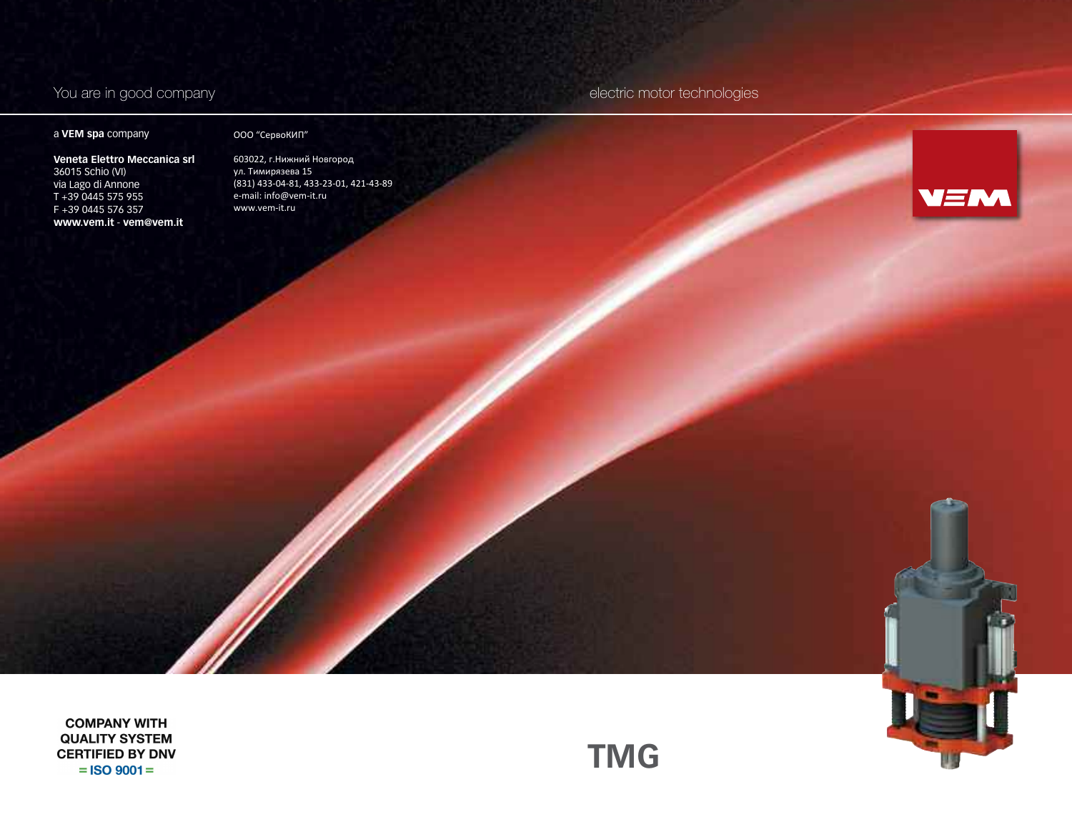# a **VEM spa** company

### ООО "СервоКИП"

**Veneta Elettro Meccanica srl** 36015 Schio (VI) via Lago di Annone T +39 0445 575 955 F +39 0445 576 357 **www.vem.it** - **vem@vem.it**

603022, г.Нижний Новгород ул. Тимирязева 15 (831) 433-04-81, 433-23-01, 421-43-89 e-mail: info@vem-it.ru www.vem-it.ru

You are in good company electric motor technologies



**COMPANY WITH QUALITY SYSTEM CERTIFIED BY DNV**  $=$  ISO 9001  $=$